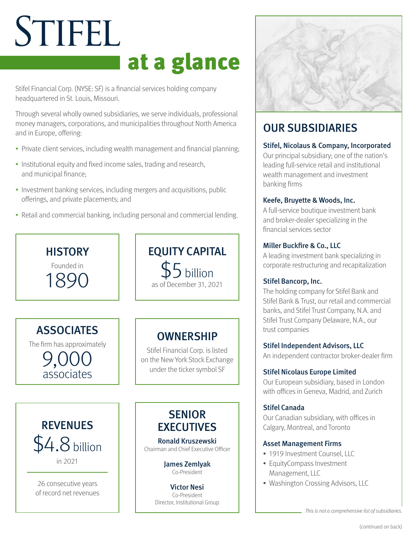# STIFEL at a glance

Stifel Financial Corp. (NYSE: SF) is a financial services holding company headquartered in St. Louis, Missouri.

Through several wholly owned subsidiaries, we serve individuals, professional money managers, corporations, and municipalities throughout North America and in Europe, offering:

- Private client services, including wealth management and financial planning;
- Institutional equity and fixed income sales, trading and research, and municipal finance;
- Investment banking services, including mergers and acquisitions, public offerings, and private placements; and
- Retail and commercial banking, including personal and commercial lending.





# OUR SUBSIDIARIES

# Stifel, Nicolaus & Company, Incorporated

Our principal subsidiary; one of the nation's leading full-service retail and institutional wealth management and investment banking firms

# Keefe, Bruyette & Woods, Inc.

A full-service boutique investment bank and broker-dealer specializing in the financial services sector

# Miller Buckfire & Co., LLC

A leading investment bank specializing in corporate restructuring and recapitalization

# Stifel Bancorp, Inc.

The holding company for Stifel Bank and Stifel Bank & Trust, our retail and commercial banks, and Stifel Trust Company, N.A. and Stifel Trust Company Delaware, N.A., our trust companies

Stifel Independent Advisors, LLC

An independent contractor broker-dealer firm

# Stifel Nicolaus Europe Limited

Our European subsidiary, based in London with offices in Geneva, Madrid, and Zurich

# Stifel Canada

Our Canadian subsidiary, with offices in Calgary, Montreal, and Toronto

# Asset Management Firms

- 1919 Investment Counsel, LLC
- EquityCompass Investment Management, LLC
- Washington Crossing Advisors, LLC

This is not a comprehensive list of subsidiaries.